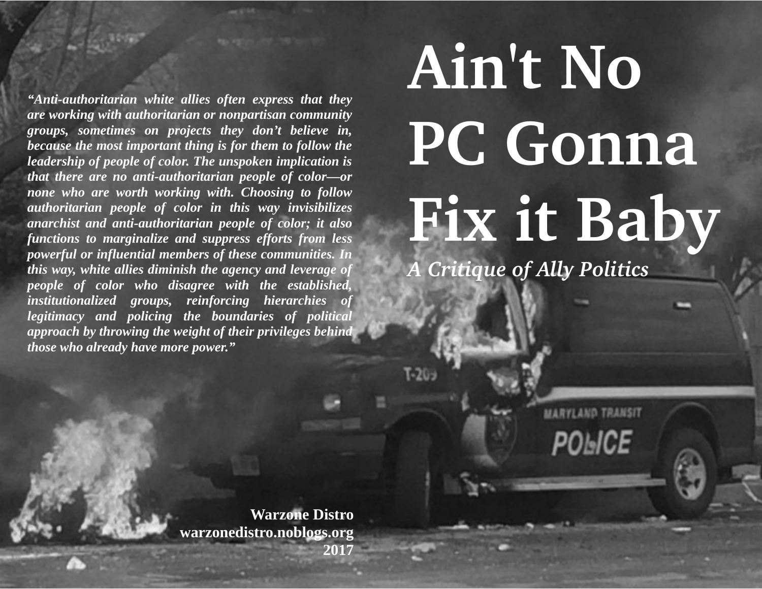*"Anti-authoritarian white allies often express that they are working with authoritarian or nonpartisan community groups, sometimes on projects they don't believe in, because the most important thing is for them to follow the leadership of people of color. The unspoken implication is that there are no anti-authoritarian people of color—or none who are worth working with. Choosing to follow authoritarian people of color in this way invisibilizes anarchist and anti-authoritarian people of color; it also functions to marginalize and suppress efforts from less powerful or influential members of these communities. In this way, white allies diminish the agency and leverage of people of color who disagree with the established, institutionalized groups, reinforcing hierarchies of legitimacy and policing the boundaries of political approach by throwing the weight of their privileges behind those who already have more power."*

# **Ain't No PC Gonna Fix it Baby** *A Critique of Ally Politics*

**MARYLAND TRANSIT** PONCE

**Warzone Distro warzonedistro.noblogs.org 2017**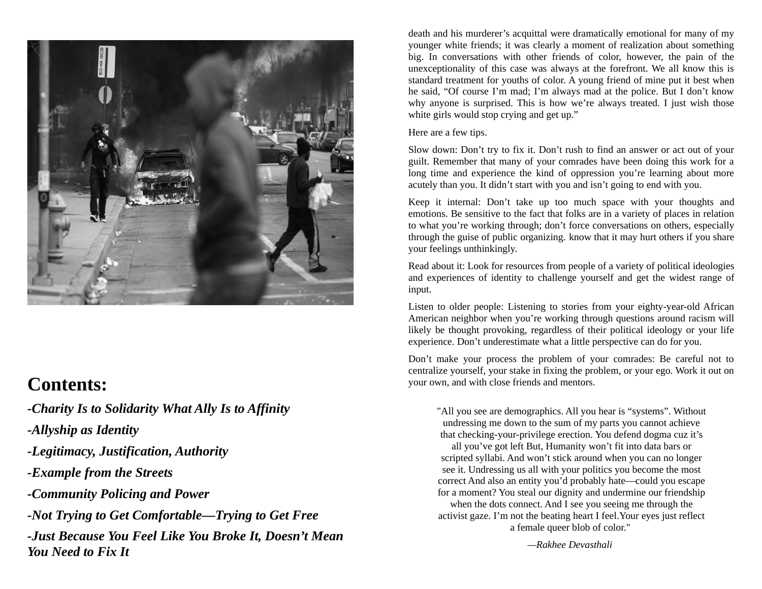

# **Contents:**

*-Charity Is to Solidarity What Ally Is to Affinity*

*-Allyship as Identity*

*-Legitimacy, Justification, Authority*

*-Example from the Streets*

*-Community Policing and Power*

*-Not Trying to Get Comfortable—Trying to Get Free*

*-Just Because You Feel Like You Broke It, Doesn't Mean You Need to Fix It*

death and his murderer's acquittal were dramatically emotional for many of my younger white friends; it was clearly a moment of realization about something big. In conversations with other friends of color, however, the pain of the unexceptionality of this case was always at the forefront. We all know this is standard treatment for youths of color. A young friend of mine put it best when he said, "Of course I'm mad; I'm always mad at the police. But I don't know why anyone is surprised. This is how we're always treated. I just wish those white girls would stop crying and get up."

# Here are a few tips.

Slow down: Don't try to fix it. Don't rush to find an answer or act out of your guilt. Remember that many of your comrades have been doing this work for a long time and experience the kind of oppression you're learning about more acutely than you. It didn't start with you and isn't going to end with you.

Keep it internal: Don't take up too much space with your thoughts and emotions. Be sensitive to the fact that folks are in a variety of places in relation to what you're working through; don't force conversations on others, especially through the guise of public organizing. know that it may hurt others if you share your feelings unthinkingly.

Read about it: Look for resources from people of a variety of political ideologies and experiences of identity to challenge yourself and get the widest range of input.

Listen to older people: Listening to stories from your eighty-year-old African American neighbor when you're working through questions around racism will likely be thought provoking, regardless of their political ideology or your life experience. Don't underestimate what a little perspective can do for you.

Don't make your process the problem of your comrades: Be careful not to centralize yourself, your stake in fixing the problem, or your ego. Work it out on your own, and with close friends and mentors.

"All you see are demographics. All you hear is "systems". Without undressing me down to the sum of my parts you cannot achieve that checking-your-privilege erection. You defend dogma cuz it's all you've got left But, Humanity won't fit into data bars or scripted syllabi. And won't stick around when you can no longer see it. Undressing us all with your politics you become the most correct And also an entity you'd probably hate—could you escape for a moment? You steal our dignity and undermine our friendship when the dots connect. And I see you seeing me through the activist gaze. I'm not the beating heart I feel.Your eyes just reflect a female queer blob of color."

*—Rakhee Devasthali*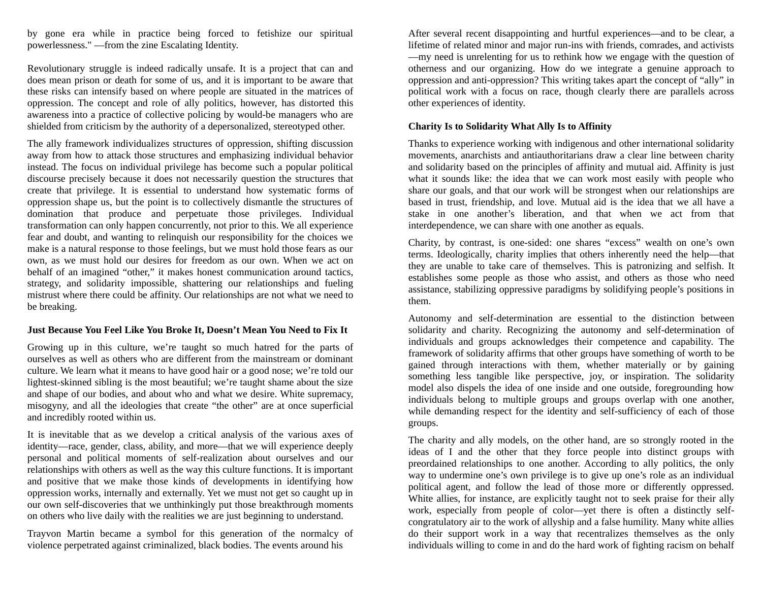by gone era while in practice being forced to fetishize our spiritual powerlessness." —from the zine Escalating Identity.

Revolutionary struggle is indeed radically unsafe. It is a project that can and does mean prison or death for some of us, and it is important to be aware that these risks can intensify based on where people are situated in the matrices of oppression. The concept and role of ally politics, however, has distorted this awareness into a practice of collective policing by would-be managers who are shielded from criticism by the authority of a depersonalized, stereotyped other.

The ally framework individualizes structures of oppression, shifting discussion away from how to attack those structures and emphasizing individual behavior instead. The focus on individual privilege has become such a popular political discourse precisely because it does not necessarily question the structures that create that privilege. It is essential to understand how systematic forms of oppression shape us, but the point is to collectively dismantle the structures of domination that produce and perpetuate those privileges. Individual transformation can only happen concurrently, not prior to this. We all experience fear and doubt, and wanting to relinquish our responsibility for the choices we make is a natural response to those feelings, but we must hold those fears as our own, as we must hold our desires for freedom as our own. When we act on behalf of an imagined "other," it makes honest communication around tactics, strategy, and solidarity impossible, shattering our relationships and fueling mistrust where there could be affinity. Our relationships are not what we need to be breaking.

#### **Just Because You Feel Like You Broke It, Doesn't Mean You Need to Fix It**

Growing up in this culture, we're taught so much hatred for the parts of ourselves as well as others who are different from the mainstream or dominant culture. We learn what it means to have good hair or a good nose; we're told our lightest-skinned sibling is the most beautiful; we're taught shame about the size and shape of our bodies, and about who and what we desire. White supremacy, misogyny, and all the ideologies that create "the other" are at once superficial and incredibly rooted within us.

It is inevitable that as we develop a critical analysis of the various axes of identity—race, gender, class, ability, and more—that we will experience deeply personal and political moments of self-realization about ourselves and our relationships with others as well as the way this culture functions. It is important and positive that we make those kinds of developments in identifying how oppression works, internally and externally. Yet we must not get so caught up in our own self-discoveries that we unthinkingly put those breakthrough moments on others who live daily with the realities we are just beginning to understand.

Trayvon Martin became a symbol for this generation of the normalcy of violence perpetrated against criminalized, black bodies. The events around his

After several recent disappointing and hurtful experiences—and to be clear, a lifetime of related minor and major run-ins with friends, comrades, and activists —my need is unrelenting for us to rethink how we engage with the question of otherness and our organizing. How do we integrate a genuine approach to oppression and anti-oppression? This writing takes apart the concept of "ally" in political work with a focus on race, though clearly there are parallels across other experiences of identity.

#### **Charity Is to Solidarity What Ally Is to Affinity**

Thanks to experience working with indigenous and other international solidarity movements, anarchists and antiauthoritarians draw a clear line between charity and solidarity based on the principles of affinity and mutual aid. Affinity is just what it sounds like: the idea that we can work most easily with people who share our goals, and that our work will be strongest when our relationships are based in trust, friendship, and love. Mutual aid is the idea that we all have a stake in one another's liberation, and that when we act from that interdependence, we can share with one another as equals.

Charity, by contrast, is one-sided: one shares "excess" wealth on one's own terms. Ideologically, charity implies that others inherently need the help—that they are unable to take care of themselves. This is patronizing and selfish. It establishes some people as those who assist, and others as those who need assistance, stabilizing oppressive paradigms by solidifying people's positions in them.

Autonomy and self-determination are essential to the distinction between solidarity and charity. Recognizing the autonomy and self-determination of individuals and groups acknowledges their competence and capability. The framework of solidarity affirms that other groups have something of worth to be gained through interactions with them, whether materially or by gaining something less tangible like perspective, joy, or inspiration. The solidarity model also dispels the idea of one inside and one outside, foregrounding how individuals belong to multiple groups and groups overlap with one another, while demanding respect for the identity and self-sufficiency of each of those groups.

The charity and ally models, on the other hand, are so strongly rooted in the ideas of I and the other that they force people into distinct groups with preordained relationships to one another. According to ally politics, the only way to undermine one's own privilege is to give up one's role as an individual political agent, and follow the lead of those more or differently oppressed. White allies, for instance, are explicitly taught not to seek praise for their ally work, especially from people of color—yet there is often a distinctly selfcongratulatory air to the work of allyship and a false humility. Many white allies do their support work in a way that recentralizes themselves as the only individuals willing to come in and do the hard work of fighting racism on behalf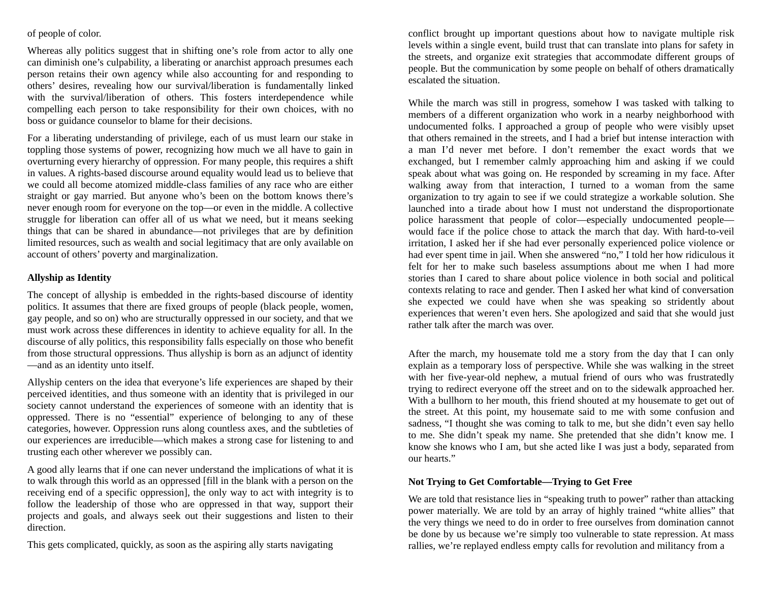# of people of color.

Whereas ally politics suggest that in shifting one's role from actor to ally one can diminish one's culpability, a liberating or anarchist approach presumes each person retains their own agency while also accounting for and responding to others' desires, revealing how our survival/liberation is fundamentally linked with the survival/liberation of others. This fosters interdependence while compelling each person to take responsibility for their own choices, with no boss or guidance counselor to blame for their decisions.

For a liberating understanding of privilege, each of us must learn our stake in toppling those systems of power, recognizing how much we all have to gain in overturning every hierarchy of oppression. For many people, this requires a shift in values. A rights-based discourse around equality would lead us to believe that we could all become atomized middle-class families of any race who are either straight or gay married. But anyone who's been on the bottom knows there's never enough room for everyone on the top—or even in the middle. A collective struggle for liberation can offer all of us what we need, but it means seeking things that can be shared in abundance—not privileges that are by definition limited resources, such as wealth and social legitimacy that are only available on account of others' poverty and marginalization.

# **Allyship as Identity**

The concept of allyship is embedded in the rights-based discourse of identity politics. It assumes that there are fixed groups of people (black people, women, gay people, and so on) who are structurally oppressed in our society, and that we must work across these differences in identity to achieve equality for all. In the discourse of ally politics, this responsibility falls especially on those who benefit from those structural oppressions. Thus allyship is born as an adjunct of identity —and as an identity unto itself.

Allyship centers on the idea that everyone's life experiences are shaped by their perceived identities, and thus someone with an identity that is privileged in our society cannot understand the experiences of someone with an identity that is oppressed. There is no "essential" experience of belonging to any of these categories, however. Oppression runs along countless axes, and the subtleties of our experiences are irreducible—which makes a strong case for listening to and trusting each other wherever we possibly can.

A good ally learns that if one can never understand the implications of what it is to walk through this world as an oppressed [fill in the blank with a person on the receiving end of a specific oppression], the only way to act with integrity is to follow the leadership of those who are oppressed in that way, support their projects and goals, and always seek out their suggestions and listen to their direction.

This gets complicated, quickly, as soon as the aspiring ally starts navigating

conflict brought up important questions about how to navigate multiple risk levels within a single event, build trust that can translate into plans for safety in the streets, and organize exit strategies that accommodate different groups of people. But the communication by some people on behalf of others dramatically escalated the situation.

While the march was still in progress, somehow I was tasked with talking to members of a different organization who work in a nearby neighborhood with undocumented folks. I approached a group of people who were visibly upset that others remained in the streets, and I had a brief but intense interaction with a man I'd never met before. I don't remember the exact words that we exchanged, but I remember calmly approaching him and asking if we could speak about what was going on. He responded by screaming in my face. After walking away from that interaction, I turned to a woman from the same organization to try again to see if we could strategize a workable solution. She launched into a tirade about how I must not understand the disproportionate police harassment that people of color—especially undocumented people would face if the police chose to attack the march that day. With hard-to-veil irritation, I asked her if she had ever personally experienced police violence or had ever spent time in jail. When she answered "no," I told her how ridiculous it felt for her to make such baseless assumptions about me when I had more stories than I cared to share about police violence in both social and political contexts relating to race and gender. Then I asked her what kind of conversation she expected we could have when she was speaking so stridently about experiences that weren't even hers. She apologized and said that she would just rather talk after the march was over.

After the march, my housemate told me a story from the day that I can only explain as a temporary loss of perspective. While she was walking in the street with her five-year-old nephew, a mutual friend of ours who was frustratedly trying to redirect everyone off the street and on to the sidewalk approached her. With a bullhorn to her mouth, this friend shouted at my housemate to get out of the street. At this point, my housemate said to me with some confusion and sadness, "I thought she was coming to talk to me, but she didn't even say hello to me. She didn't speak my name. She pretended that she didn't know me. I know she knows who I am, but she acted like I was just a body, separated from our hearts."

# **Not Trying to Get Comfortable—Trying to Get Free**

We are told that resistance lies in "speaking truth to power" rather than attacking power materially. We are told by an array of highly trained "white allies" that the very things we need to do in order to free ourselves from domination cannot be done by us because we're simply too vulnerable to state repression. At mass rallies, we're replayed endless empty calls for revolution and militancy from a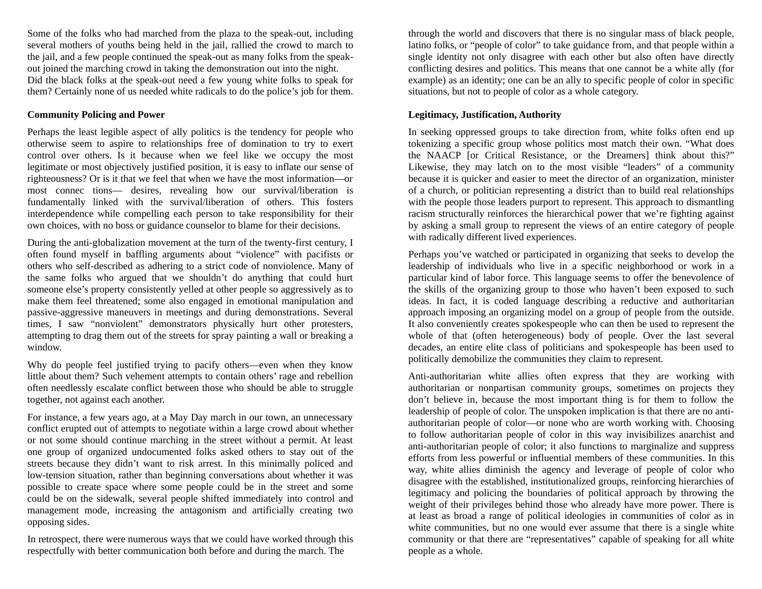Some of the folks who had marched from the plaza to the speak-out, including several mothers of youths being held in the jail, rallied the crowd to march to the jail, and a few people continued the speak-out as many folks from the speakout joined the marching crowd in taking the demonstration out into the night. Did the black folks at the speak-out need a few young white folks to speak for them? Certainly none of us needed white radicals to do the police's job for them.

#### **Community Policing and Power**

Perhaps the least legible aspect of ally politics is the tendency for people who otherwise seem to aspire to relationships free of domination to try to exert control over others. Is it because when we feel like we occupy the most legitimate or most objectively justified position, it is easy to inflate our sense of righteousness? Or is it that we feel that when we have the most information—or most connec tions— desires, revealing how our survival/liberation is fundamentally linked with the survival/liberation of others. This fosters interdependence while compelling each person to take responsibility for their own choices, with no boss or guidance counselor to blame for their decisions.

During the anti-globalization movement at the turn of the twenty-first century, I often found myself in baffling arguments about "violence" with pacifists or others who self-described as adhering to a strict code of nonviolence. Many of the same folks who argued that we shouldn't do anything that could hurt someone else's property consistently yelled at other people so aggressively as to make them feel threatened; some also engaged in emotional manipulation and passive-aggressive maneuvers in meetings and during demonstrations. Several times, I saw "nonviolent" demonstrators physically hurt other protesters, attempting to drag them out of the streets for spray painting a wall or breaking a window.

Why do people feel justified trying to pacify others—even when they know little about them? Such vehement attempts to contain others' rage and rebellion often needlessly escalate conflict between those who should be able to struggle together, not against each another.

For instance, a few years ago, at a May Day march in our town, an unnecessary conflict erupted out of attempts to negotiate within a large crowd about whether or not some should continue marching in the street without a permit. At least one group of organized undocumented folks asked others to stay out of the streets because they didn't want to risk arrest. In this minimally policed and low-tension situation, rather than beginning conversations about whether it was possible to create space where some people could be in the street and some could be on the sidewalk, several people shifted immediately into control and management mode, increasing the antagonism and artificially creating two opposing sides.

In retrospect, there were numerous ways that we could have worked through this respectfully with better communication both before and during the march. The

through the world and discovers that there is no singular mass of black people, latino folks, or "people of color" to take guidance from, and that people within a single identity not only disagree with each other but also often have directly conflicting desires and politics. This means that one cannot be a white ally (for example) as an identity; one can be an ally to specific people of color in specific situations, but not to people of color as a whole category.

### **Legitimacy, Justification, Authority**

In seeking oppressed groups to take direction from, white folks often end up tokenizing a specific group whose politics most match their own. "What does the NAACP [or Critical Resistance, or the Dreamers] think about this?" Likewise, they may latch on to the most visible "leaders" of a community because it is quicker and easier to meet the director of an organization, minister of a church, or politician representing a district than to build real relationships with the people those leaders purport to represent. This approach to dismantling racism structurally reinforces the hierarchical power that we're fighting against by asking a small group to represent the views of an entire category of people with radically different lived experiences.

Perhaps you've watched or participated in organizing that seeks to develop the leadership of individuals who live in a specific neighborhood or work in a particular kind of labor force. This language seems to offer the benevolence of the skills of the organizing group to those who haven't been exposed to such ideas. In fact, it is coded language describing a reductive and authoritarian approach imposing an organizing model on a group of people from the outside. It also conveniently creates spokespeople who can then be used to represent the whole of that (often heterogeneous) body of people. Over the last several decades, an entire elite class of politicians and spokespeople has been used to politically demobilize the communities they claim to represent.

Anti-authoritarian white allies often express that they are working with authoritarian or nonpartisan community groups, sometimes on projects they don't believe in, because the most important thing is for them to follow the leadership of people of color. The unspoken implication is that there are no antiauthoritarian people of color—or none who are worth working with. Choosing to follow authoritarian people of color in this way invisibilizes anarchist and anti-authoritarian people of color; it also functions to marginalize and suppress efforts from less powerful or influential members of these communities. In this way, white allies diminish the agency and leverage of people of color who disagree with the established, institutionalized groups, reinforcing hierarchies of legitimacy and policing the boundaries of political approach by throwing the weight of their privileges behind those who already have more power. There is at least as broad a range of political ideologies in communities of color as in white communities, but no one would ever assume that there is a single white community or that there are "representatives" capable of speaking for all white people as a whole.